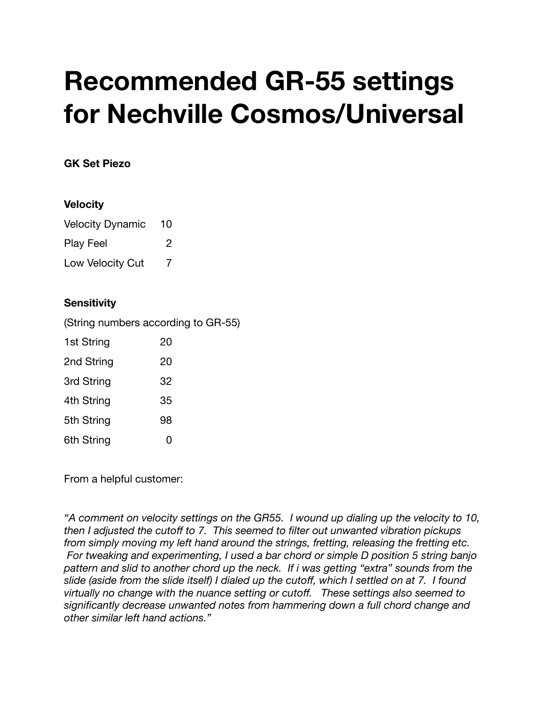## **Recommended GR-55 settings for Nechville Cosmos/Universal**

## **GK Set Piezo**

## **Velocity**

| <b>Velocity Dynamic</b> | 10 |
|-------------------------|----|
| <b>Play Feel</b>        | 2  |
| Low Velocity Cut        | 7  |

## **Sensitivity**

(String numbers according to GR-55)

| 1st String | 20 |
|------------|----|
| 2nd String | 20 |
| 3rd String | 32 |
| 4th String | 35 |
| 5th String | 98 |
| 6th String | 0  |

From a helpful customer:

*"A comment on velocity settings on the GR55. I wound up dialing up the velocity to 10, then I adjusted the cutoff to 7. This seemed to filter out unwanted vibration pickups from simply moving my left hand around the strings, fretting, releasing the fretting etc. For tweaking and experimenting, I used a bar chord or simple D position 5 string banjo pattern and slid to another chord up the neck. If i was getting "extra" sounds from the slide (aside from the slide itself) I dialed up the cutoff, which I settled on at 7. I found virtually no change with the nuance setting or cutoff. These settings also seemed to significantly decrease unwanted notes from hammering down a full chord change and other similar left hand actions."*